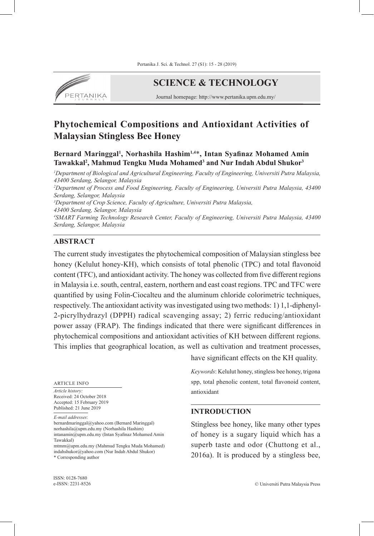

**SCIENCE & TECHNOLOGY**

Journal homepage: http://www.pertanika.upm.edu.my/

# **Phytochemical Compositions and Antioxidant Activities of Malaysian Stingless Bee Honey**

**Bernard Maringgal1 , Norhashila Hashim1,4**\***, Intan Syafinaz Mohamed Amin**  Tawakkal<sup>2</sup>, Mahmud Tengku Muda Mohamed<sup>3</sup> and Nur Indah Abdul Shukor<sup>3</sup>

*1 Department of Biological and Agricultural Engineering, Faculty of Engineering, Universiti Putra Malaysia, 43400 Serdang, Selangor, Malaysia*

*2 Department of Process and Food Engineering, Faculty of Engineering, Universiti Putra Malaysia, 43400 Serdang, Selangor, Malaysia*

*3 Department of Crop Science, Faculty of Agriculture, Universiti Putra Malaysia,* 

*43400 Serdang, Selangor, Malaysia*

*4 SMART Farming Technology Research Center, Faculty of Engineering, Universiti Putra Malaysia, 43400 Serdang, Selangor, Malaysia*

#### **ABSTRACT**

The current study investigates the phytochemical composition of Malaysian stingless bee honey (Kelulut honey-KH), which consists of total phenolic (TPC) and total flavonoid content (TFC), and antioxidant activity. The honey was collected from five different regions in Malaysia i.e. south, central, eastern, northern and east coast regions. TPC and TFC were quantified by using Folin-Ciocalteu and the aluminum chloride colorimetric techniques, respectively. The antioxidant activity was investigated using two methods: 1) 1,1-diphenyl-2-picrylhydrazyl (DPPH) radical scavenging assay; 2) ferric reducing/antioxidant power assay (FRAP). The findings indicated that there were significant differences in phytochemical compositions and antioxidant activities of KH between different regions. This implies that geographical location, as well as cultivation and treatment processes,

ARTICLE INFO

*Article history:* Received: 24 October 2018 Accepted: 15 February 2019 Published: 21 June 2019

*E-mail addresses*:

bernardmaringgal@yahoo.com (Bernard Maringgal) norhashila@upm.edu.my (Norhashila Hashim) intanamin@upm.edu.my (Intan Syafinaz Mohamed Amin Tawakkal)

mtmm@upm.edu.my (Mahmud Tengku Muda Mohamed) indahshukor@yahoo.com (Nur Indah Abdul Shukor) \* Corresponding author

have significant effects on the KH quality.

*Keywords*: Kelulut honey, stingless bee honey, trigona spp, total phenolic content, total flavonoid content, antioxidant

#### **INTRODUCTION**

Stingless bee honey, like many other types of honey is a sugary liquid which has a superb taste and odor (Chuttong et al., 2016a). It is produced by a stingless bee,

ISSN: 0128-7680 e-ISSN: 2231-8526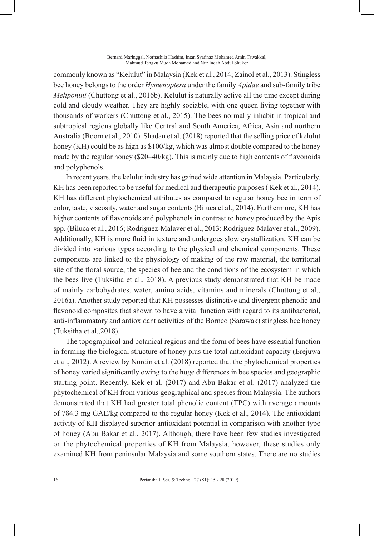#### Bernard Maringgal, Norhashila Hashim, Intan Syafinaz Mohamed Amin Tawakkal, Mahmud Tengku Muda Mohamed and Nur Indah Abdul Shukor

commonly known as "Kelulut" in Malaysia (Kek et al., 2014; Zainol et al., 2013). Stingless bee honey belongs to the order *Hymenoptera* under the family *Apidae* and sub-family tribe *Meliponini* (Chuttong et al., 2016b). Kelulut is naturally active all the time except during cold and cloudy weather. They are highly sociable, with one queen living together with thousands of workers (Chuttong et al., 2015). The bees normally inhabit in tropical and subtropical regions globally like Central and South America, Africa, Asia and northern Australia (Boorn et al., 2010). Shadan et al. (2018) reported that the selling price of kelulut honey (KH) could be as high as \$100/kg, which was almost double compared to the honey made by the regular honey  $(\frac{20-40}{k})$ . This is mainly due to high contents of flavonoids and polyphenols.

In recent years, the kelulut industry has gained wide attention in Malaysia. Particularly, KH has been reported to be useful for medical and therapeutic purposes (Kek et al., 2014). KH has different phytochemical attributes as compared to regular honey bee in term of color, taste, viscosity, water and sugar contents (Biluca et al., 2014). Furthermore, KH has higher contents of flavonoids and polyphenols in contrast to honey produced by the Apis spp. (Biluca et al., 2016; Rodriguez-Malaver et al., 2013; Rodriguez-Malaver et al., 2009). Additionally, KH is more fluid in texture and undergoes slow crystallization. KH can be divided into various types according to the physical and chemical components. These components are linked to the physiology of making of the raw material, the territorial site of the floral source, the species of bee and the conditions of the ecosystem in which the bees live (Tuksitha et al., 2018). A previous study demonstrated that KH be made of mainly carbohydrates, water, amino acids, vitamins and minerals (Chuttong et al., 2016a). Another study reported that KH possesses distinctive and divergent phenolic and flavonoid composites that shown to have a vital function with regard to its antibacterial, anti-inflammatory and antioxidant activities of the Borneo (Sarawak) stingless bee honey (Tuksitha et al.,2018).

The topographical and botanical regions and the form of bees have essential function in forming the biological structure of honey plus the total antioxidant capacity (Erejuwa et al., 2012). A review by Nordin et al. (2018) reported that the phytochemical properties of honey varied significantly owing to the huge differences in bee species and geographic starting point. Recently, Kek et al. (2017) and Abu Bakar et al. (2017) analyzed the phytochemical of KH from various geographical and species from Malaysia. The authors demonstrated that KH had greater total phenolic content (TPC) with average amounts of 784.3 mg GAE/kg compared to the regular honey (Kek et al., 2014). The antioxidant activity of KH displayed superior antioxidant potential in comparison with another type of honey (Abu Bakar et al., 2017). Although, there have been few studies investigated on the phytochemical properties of KH from Malaysia, however, these studies only examined KH from peninsular Malaysia and some southern states. There are no studies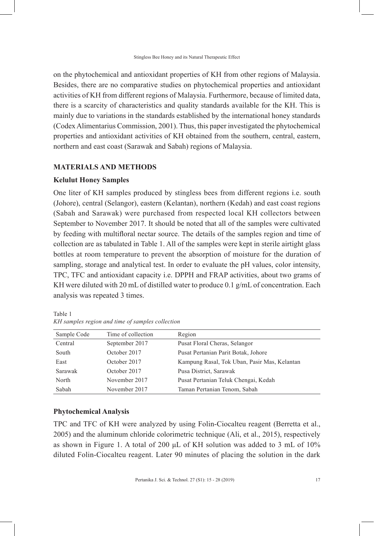on the phytochemical and antioxidant properties of KH from other regions of Malaysia. Besides, there are no comparative studies on phytochemical properties and antioxidant activities of KH from different regions of Malaysia. Furthermore, because of limited data, there is a scarcity of characteristics and quality standards available for the KH. This is mainly due to variations in the standards established by the international honey standards (Codex Alimentarius Commission, 2001). Thus, this paper investigated the phytochemical properties and antioxidant activities of KH obtained from the southern, central, eastern, northern and east coast (Sarawak and Sabah) regions of Malaysia.

### **MATERIALS AND METHODS**

#### **Kelulut Honey Samples**

One liter of KH samples produced by stingless bees from different regions i.e. south (Johore), central (Selangor), eastern (Kelantan), northern (Kedah) and east coast regions (Sabah and Sarawak) were purchased from respected local KH collectors between September to November 2017. It should be noted that all of the samples were cultivated by feeding with multifloral nectar source. The details of the samples region and time of collection are as tabulated in Table 1. All of the samples were kept in sterile airtight glass bottles at room temperature to prevent the absorption of moisture for the duration of sampling, storage and analytical test. In order to evaluate the pH values, color intensity, TPC, TFC and antioxidant capacity i.e. DPPH and FRAP activities, about two grams of KH were diluted with 20 mL of distilled water to produce 0.1  $g/mL$  of concentration. Each analysis was repeated 3 times.

| Sample Code | Time of collection | Region                                       |
|-------------|--------------------|----------------------------------------------|
| Central     | September 2017     | Pusat Floral Cheras, Selangor                |
| South       | October 2017       | Pusat Pertanian Parit Botak, Johore          |
| East        | October 2017       | Kampung Rasal, Tok Uban, Pasir Mas, Kelantan |
| Sarawak     | October 2017       | Pusa District, Sarawak                       |
| North       | November 2017      | Pusat Pertanian Teluk Chengai, Kedah         |
| Sabah       | November 2017      | Taman Pertanian Tenom, Sabah                 |

Table 1 *KH samples region and time of samples collection*

### **Phytochemical Analysis**

TPC and TFC of KH were analyzed by using Folin-Ciocalteu reagent (Berretta et al., 2005) and the aluminum chloride colorimetric technique (Ali, et al., 2015), respectively as shown in Figure 1. A total of 200  $\mu$ L of KH solution was added to 3 mL of 10% diluted Folin-Ciocalteu reagent. Later 90 minutes of placing the solution in the dark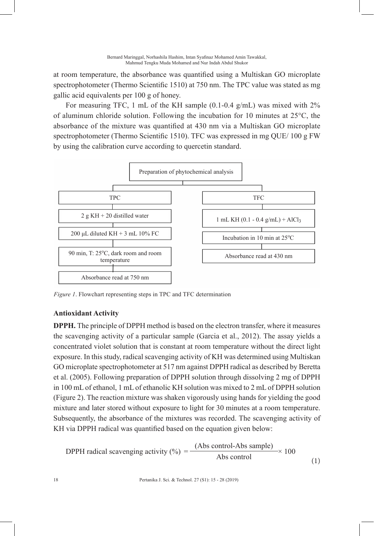at room temperature, the absorbance was quantified using a Multiskan GO microplate spectrophotometer (Thermo Scientific 1510) at 750 nm. The TPC value was stated as mg gallic acid equivalents per 100 g of honey.

For measuring TFC, 1 mL of the KH sample (0.1-0.4 g/mL) was mixed with 2% of aluminum chloride solution. Following the incubation for 10 minutes at 25°C, the absorbance of the mixture was quantified at 430 nm via a Multiskan GO microplate spectrophotometer (Thermo Scientific 1510). TFC was expressed in mg QUE/ 100 g FW by using the calibration curve according to quercetin standard.



*Figure 1*. Flowchart representing steps in TPC and TFC determination

# **Antioxidant Activity**

**DPPH.** The principle of DPPH method is based on the electron transfer, where it measures the scavenging activity of a particular sample (Garcia et al., 2012). The assay yields a concentrated violet solution that is constant at room temperature without the direct light exposure. In this study, radical scavenging activity of KH was determined using Multiskan GO microplate spectrophotometer at 517 nm against DPPH radical as described by Beretta et al. (2005). Following preparation of DPPH solution through dissolving 2 mg of DPPH in 100 mL of ethanol, 1 mL of ethanolic KH solution was mixed to 2 mL of DPPH solution (Figure 2). The reaction mixture was shaken vigorously using hands for yielding the good mixture and later stored without exposure to light for 30 minutes at a room temperature. Subsequently, the absorbance of the mixtures was recorded. The scavenging activity of KH via DPPH radical was quantified based on the equation given below:

$$
DPPH radical scavenging activity (%) = \frac{(Abs control-Abs sample)}{Abs control} \times 100
$$
 (1)

18 Pertanika J. Sci. & Technol. 27 (S1): 15 - 28 (2019)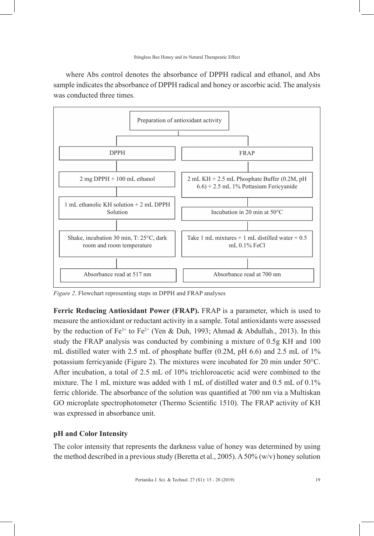where Abs control denotes the absorbance of DPPH radical and ethanol, and Abs sample indicates the absorbance of DPPH radical and honey or ascorbic acid. The analysis was conducted three times.



*Figure 2*. Flowchart representing steps in DPPH and FRAP analyses

**Ferric Reducing Antioxidant Power (FRAP).** FRAP is a parameter, which is used to measure the antioxidant or reductant activity in a sample. Total antioxidants were assessed by the reduction of  $Fe^{3+}$  to  $Fe^{2+}$  (Yen & Duh, 1993; Ahmad & Abdullah., 2013). In this study the FRAP analysis was conducted by combining a mixture of 0.5g KH and 100 mL distilled water with 2.5 mL of phosphate buffer  $(0.2M, pH 6.6)$  and 2.5 mL of  $1\%$ potassium ferricyanide (Figure 2). The mixtures were incubated for 20 min under 50°C. After incubation, a total of 2.5 mL of 10% trichloroacetic acid were combined to the mixture. The 1 mL mixture was added with 1 mL of distilled water and 0.5 mL of 0.1% ferric chloride. The absorbance of the solution was quantified at 700 nm via a Multiskan GO microplate spectrophotometer (Thermo Scientific 1510). The FRAP activity of KH was expressed in absorbance unit.

#### **pH and Color Intensity**

The color intensity that represents the darkness value of honey was determined by using the method described in a previous study (Beretta et al., 2005). A 50% (w/v) honey solution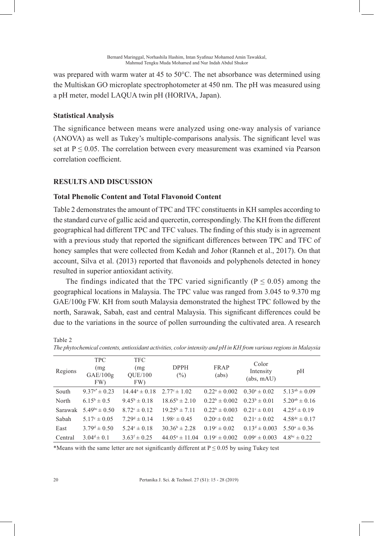was prepared with warm water at 45 to 50°C. The net absorbance was determined using the Multiskan GO microplate spectrophotometer at 450 nm. The pH was measured using a pH meter, model LAQUA twin pH (HORIVA, Japan).

# **Statistical Analysis**

The significance between means were analyzed using one-way analysis of variance (ANOVA) as well as Tukey's multiple-comparisons analysis. The significant level was set at  $P \le 0.05$ . The correlation between every measurement was examined via Pearson correlation coefficient.

# **RESULTS AND DISCUSSION**

# **Total Phenolic Content and Total Flavonoid Content**

Table 2 demonstrates the amount of TPC and TFC constituents in KH samples according to the standard curve of gallic acid and quercetin, correspondingly. The KH from the different geographical had different TPC and TFC values. The finding of this study is in agreement with a previous study that reported the significant differences between TPC and TFC of honey samples that were collected from Kedah and Johor (Ranneh et al., 2017). On that account, Silva et al. (2013) reported that flavonoids and polyphenols detected in honey resulted in superior antioxidant activity.

The findings indicated that the TPC varied significantly ( $P \le 0.05$ ) among the geographical locations in Malaysia. The TPC value was ranged from 3.045 to 9.370 mg GAE/100g FW. KH from south Malaysia demonstrated the highest TPC followed by the north, Sarawak, Sabah, east and central Malaysia. This significant differences could be due to the variations in the source of pollen surrounding the cultivated area. A research

| The phytochemical contents, antioxidant activities, color intensity and pH in KH from various regions in Malaysia |                                       |                                      |                         |                          |                                  |                            |  |  |
|-------------------------------------------------------------------------------------------------------------------|---------------------------------------|--------------------------------------|-------------------------|--------------------------|----------------------------------|----------------------------|--|--|
| Regions                                                                                                           | <b>TPC</b><br>(mg)<br>GAE/100g<br>FW) | <b>TFC</b><br>(mg)<br>QUE/100<br>FW) | <b>DPPH</b><br>$(\%)$   | <b>FRAP</b><br>(abs)     | Color<br>Intensity<br>(abs. mAU) | pH                         |  |  |
| South                                                                                                             | $9.37^{\mathrm{a}*} \pm 0.23$         | $14.44^a \pm 0.18$                   | $2.77^{\circ} \pm 1.02$ | $0.22^a \pm 0.002$       | $0.30^a \pm 0.02$                | $5.13^{ab} \pm 0.09$       |  |  |
| North                                                                                                             | $6.15^b \pm 0.5$                      | $9.45^{\rm b} \pm 0.18$              | $18.65^b \pm 2.10$      | $0.22^b \pm 0.002$       | $0.23^b \pm 0.01$                | $5.20^{ab} \pm 0.16$       |  |  |
| Sarawak                                                                                                           | $5.49^{bc} \pm 0.50$                  | $8.72^{\circ} \pm 0.12$              | $19.25^b \pm 7.11$      | $0.22^b \pm 0.003$       | $0.21^{\circ} \pm 0.01$          | $4.25^{\text{d}} \pm 0.19$ |  |  |
| Sabah                                                                                                             | $5.17^{\circ} \pm 0.05$               | $7.29^{\text{d}} \pm 0.14$           | $1.98^{\circ} \pm 0.45$ | $0.20^{\circ} \pm 0.02$  | $0.21^{\circ} \pm 0.02$          | $4.58^{dc} \pm 0.17$       |  |  |
| East                                                                                                              | $3.79^{\text{d}} \pm 0.50$            | $5.24^{\circ} \pm 0.18$              | $30.36^b \pm 2.28$      | $0.19^{\circ} \pm 0.02$  | $0.13^d \pm 0.003$               | $5.50^{\circ} \pm 0.36$    |  |  |
| Central                                                                                                           | 3.04 <sup>d</sup> $\pm$ 0.1           | $3.63$ <sup>f</sup> $\pm 0.25$       | $44.05^a \pm 11.04$     | $0.19^{\circ} \pm 0.002$ | $0.09^e \pm 0.003$               | $4.8^{bc} \pm 0.22$        |  |  |

*The phytochemical contents, antioxidant activities, color intensity and pH in KH from various regions in Malaysia*

\*Means with the same letter are not significantly different at  $P \le 0.05$  by using Tukey test

Table 2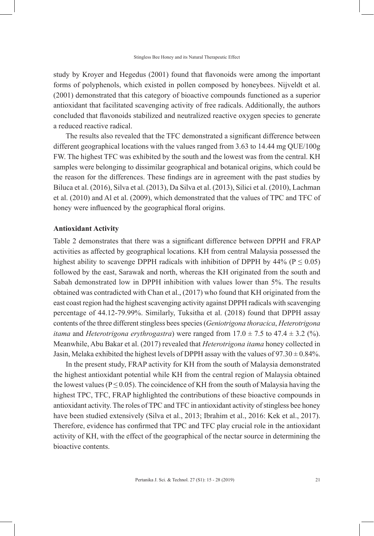study by Kroyer and Hegedus (2001) found that flavonoids were among the important forms of polyphenols, which existed in pollen composed by honeybees. Nijveldt et al. (2001) demonstrated that this category of bioactive compounds functioned as a superior antioxidant that facilitated scavenging activity of free radicals. Additionally, the authors concluded that flavonoids stabilized and neutralized reactive oxygen species to generate a reduced reactive radical.

The results also revealed that the TFC demonstrated a significant difference between different geographical locations with the values ranged from 3.63 to 14.44 mg QUE/100g FW. The highest TFC was exhibited by the south and the lowest was from the central. KH samples were belonging to dissimilar geographical and botanical origins, which could be the reason for the differences. These findings are in agreement with the past studies by Biluca et al. (2016), Silva et al. (2013), Da Silva et al. (2013), Silici et al. (2010), Lachman et al. (2010) and Al et al. (2009), which demonstrated that the values of TPC and TFC of honey were influenced by the geographical floral origins.

#### **Antioxidant Activity**

Table 2 demonstrates that there was a significant difference between DPPH and FRAP activities as affected by geographical locations. KH from central Malaysia possessed the highest ability to scavenge DPPH radicals with inhibition of DPPH by 44% ( $P \le 0.05$ ) followed by the east, Sarawak and north, whereas the KH originated from the south and Sabah demonstrated low in DPPH inhibition with values lower than 5%. The results obtained was contradicted with Chan et al., (2017) who found that KH originated from the east coast region had the highest scavenging activity against DPPH radicals with scavenging percentage of 44.12-79.99%. Similarly, Tuksitha et al. (2018) found that DPPH assay contents of the three different stingless bees species (*Geniotrigona thoracica*, *Heterotrigona itama* and *Heterotrigona erythrogastra*) were ranged from  $17.0 \pm 7.5$  to  $47.4 \pm 3.2$  (%). Meanwhile, Abu Bakar et al. (2017) revealed that *Heterotrigona itama* honey collected in Jasin, Melaka exhibited the highest levels of DPPH assay with the values of  $97.30 \pm 0.84\%$ .

In the present study, FRAP activity for KH from the south of Malaysia demonstrated the highest antioxidant potential while KH from the central region of Malaysia obtained the lowest values ( $P \le 0.05$ ). The coincidence of KH from the south of Malaysia having the highest TPC, TFC, FRAP highlighted the contributions of these bioactive compounds in antioxidant activity. The roles of TPC and TFC in antioxidant activity of stingless bee honey have been studied extensively (Silva et al., 2013; Ibrahim et al., 2016: Kek et al., 2017). Therefore, evidence has confirmed that TPC and TFC play crucial role in the antioxidant activity of KH, with the effect of the geographical of the nectar source in determining the bioactive contents.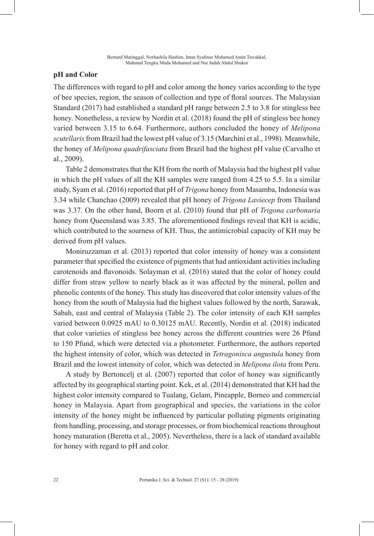#### **pH and Color**

The differences with regard to pH and color among the honey varies according to the type of bee species, region, the season of collection and type of floral sources. The Malaysian Standard (2017) had established a standard pH range between 2.5 to 3.8 for stingless bee honey. Nonetheless, a review by Nordin et al. (2018) found the pH of stingless bee honey varied between 3.15 to 6.64. Furthermore, authors concluded the honey of *Melipona scutellaris* from Brazil had the lowest pH value of 3.15 (Marchini et al., 1998). Meanwhile, the honey of *Melipona quadrifasciata* from Brazil had the highest pH value (Carvalho et al., 2009).

Table 2 demonstrates that the KH from the north of Malaysia had the highest pH value in which the pH values of all the KH samples were ranged from 4.25 to 5.5. In a similar study, Syam et al. (2016) reported that pH of *Trigona* honey from Masamba, Indonesia was 3.34 while Chanchao (2009) revealed that pH honey of *Trigona Laviecep* from Thailand was 3.37. On the other hand, Boorn et al. (2010) found that pH of *Trigona carbonaria* honey from Queensland was 3.85. The aforementioned findings reveal that KH is acidic, which contributed to the sourness of KH. Thus, the antimicrobial capacity of KH may be derived from pH values.

Moniruzzaman et al. (2013) reported that color intensity of honey was a consistent parameter that specified the existence of pigments that had antioxidant activities including carotenoids and flavonoids. Solayman et al. (2016) stated that the color of honey could differ from straw yellow to nearly black as it was affected by the mineral, pollen and phenolic contents of the honey. This study has discovered that color intensity values of the honey from the south of Malaysia had the highest values followed by the north, Sarawak, Sabah, east and central of Malaysia (Table 2). The color intensity of each KH samples varied between 0.0925 mAU to 0.30125 mAU. Recently, Nordin et al. (2018) indicated that color varieties of stingless bee honey across the different countries were 26 Pfund to 150 Pfund, which were detected via a photometer. Furthermore, the authors reported the highest intensity of color, which was detected in *Tetragonisca angustula* honey from Brazil and the lowest intensity of color, which was detected in *Melipona ilota* from Peru.

A study by Bertoncelj et al. (2007) reported that color of honey was significantly affected by its geographical starting point. Kek, et al. (2014) demonstrated that KH had the highest color intensity compared to Tualang, Gelam, Pineapple, Borneo and commercial honey in Malaysia. Apart from geographical and species, the variations in the color intensity of the honey might be influenced by particular polluting pigments originating from handling, processing, and storage processes, or from biochemical reactions throughout honey maturation (Beretta et al., 2005). Nevertheless, there is a lack of standard available for honey with regard to pH and color.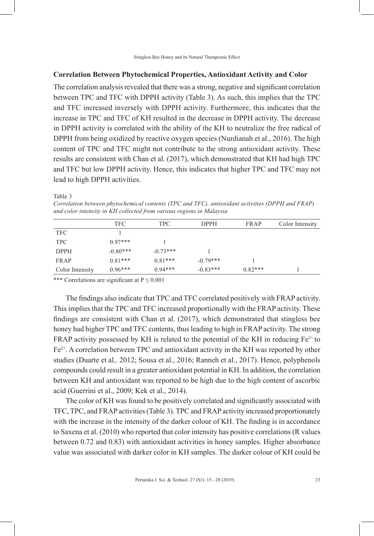#### **Correlation Between Phytochemical Properties, Antioxidant Activity and Color**

The correlation analysis revealed that there was a strong, negative and significant correlation between TPC and TFC with DPPH activity (Table 3). As such, this implies that the TPC and TFC increased inversely with DPPH activity. Furthermore, this indicates that the increase in TPC and TFC of KH resulted in the decrease in DPPH activity. The decrease in DPPH activity is correlated with the ability of the KH to neutralize the free radical of DPPH from being oxidized by reactive oxygen species (Nurdianah et al., 2016). The high content of TPC and TFC might not contribute to the strong antioxidant activity. These results are consistent with Chan et al. (2017), which demonstrated that KH had high TPC and TFC but low DPPH activity. Hence, this indicates that higher TPC and TFC may not lead to high DPPH activities.

Table 3

*Correlation between phytochemical contents (TPC and TFC), antioxidant activities (DPPH and FRAP) and color intensity in KH collected from various regions in Malaysia*

|                 | TFC        | <b>TPC</b> | <b>DPPH</b> | FRAP      | Color Intensity |
|-----------------|------------|------------|-------------|-----------|-----------------|
| <b>TFC</b>      |            |            |             |           |                 |
| <b>TPC</b>      | $0.97***$  |            |             |           |                 |
| <b>DPPH</b>     | $-0.80***$ | $-0.73***$ |             |           |                 |
| <b>FRAP</b>     | $0.81***$  | $0.81***$  | $-0.79***$  |           |                 |
| Color Intensity | $0.96***$  | $0.94***$  | $-0.83***$  | $0.82***$ |                 |
|                 |            |            |             |           |                 |

\*\*\* Correlations are significant at  $P \le 0.001$ 

The findings also indicate that TPC and TFC correlated positively with FRAP activity. This implies that the TPC and TFC increased proportionally with the FRAP activity. These findings are consistent with Chan et al. (2017), which demonstrated that stingless bee honey had higher TPC and TFC contents, thus leading to high in FRAP activity. The strong FRAP activity possessed by KH is related to the potential of the KH in reducing  $Fe<sup>3+</sup>$  to  $Fe<sup>2+</sup>$ . A correlation between TPC and antioxidant activity in the KH was reported by other studies (Duarte et al.*,* 2012; Sousa et al., 2016; Ranneh et al., 2017). Hence, polyphenols compounds could result in a greater antioxidant potential in KH. In addition, the correlation between KH and antioxidant was reported to be high due to the high content of ascorbic acid (Guerrini et al., 2009; Kek et al., 2014).

The color of KH was found to be positively correlated and significantly associated with TFC, TPC, and FRAP activities (Table 3). TPC and FRAP activity increased proportionately with the increase in the intensity of the darker colour of KH. The finding is in accordance to Saxena et al. (2010) who reported that color intensity has positive correlations (R values between 0.72 and 0.83) with antioxidant activities in honey samples. Higher absorbance value was associated with darker color in KH samples. The darker colour of KH could be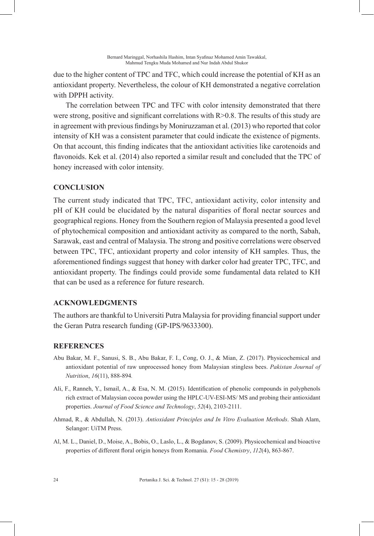due to the higher content of TPC and TFC, which could increase the potential of KH as an antioxidant property. Nevertheless, the colour of KH demonstrated a negative correlation with DPPH activity.

The correlation between TPC and TFC with color intensity demonstrated that there were strong, positive and significant correlations with  $R > 0.8$ . The results of this study are in agreement with previous findings by Moniruzzaman et al. (2013) who reported that color intensity of KH was a consistent parameter that could indicate the existence of pigments. On that account, this finding indicates that the antioxidant activities like carotenoids and flavonoids. Kek et al. (2014) also reported a similar result and concluded that the TPC of honey increased with color intensity.

# **CONCLUSION**

The current study indicated that TPC, TFC, antioxidant activity, color intensity and pH of KH could be elucidated by the natural disparities of floral nectar sources and geographical regions. Honey from the Southern region of Malaysia presented a good level of phytochemical composition and antioxidant activity as compared to the north, Sabah, Sarawak, east and central of Malaysia. The strong and positive correlations were observed between TPC, TFC, antioxidant property and color intensity of KH samples. Thus, the aforementioned findings suggest that honey with darker color had greater TPC, TFC, and antioxidant property. The findings could provide some fundamental data related to KH that can be used as a reference for future research.

### **ACKNOWLEDGMENTS**

The authors are thankful to Universiti Putra Malaysia for providing financial support under the Geran Putra research funding (GP-IPS/9633300).

# **REFERENCES**

- Abu Bakar, M. F., Sanusi, S. B., Abu Bakar, F. I., Cong, O. J., & Mian, Z. (2017). Physicochemical and antioxidant potential of raw unprocessed honey from Malaysian stingless bees. *Pakistan Journal of Nutrition*, *16*(11), 888-894*.*
- Ali, F., Ranneh, Y., Ismail, A., & Esa, N. M. (2015). Identification of phenolic compounds in polyphenols rich extract of Malaysian cocoa powder using the HPLC-UV-ESI-MS/ MS and probing their antioxidant properties. *Journal of Food Science and Technology*, *52*(4), 2103-2111.
- Ahmad, R., & Abdullah, N. (2013). *Antioxidant Principles and In Vitro Evaluation Methods*. Shah Alam, Selangor: UiTM Press.
- Al, M. L., Daniel, D., Moise, A., Bobis, O., Laslo, L., & Bogdanov, S. (2009). Physicochemical and bioactive properties of different floral origin honeys from Romania. *Food Chemistry*, *112*(4), 863-867.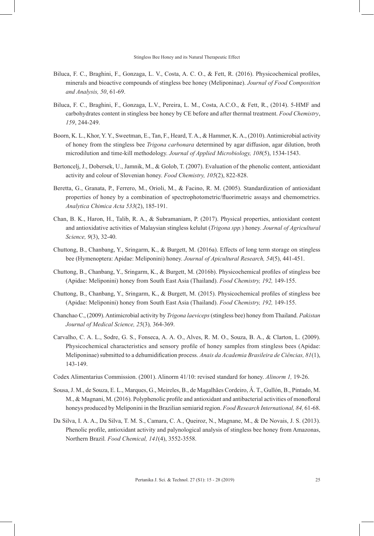- Biluca, F. C., Braghini, F., Gonzaga, L. V., Costa, A. C. O., & Fett, R. (2016). Physicochemical profiles, minerals and bioactive compounds of stingless bee honey (Meliponinae). *Journal of Food Composition and Analysis, 50*, 61-69.
- Biluca, F. C., Braghini, F., Gonzaga, L.V., Pereira, L. M., Costa, A.C.O., & Fett, R., (2014). 5-HMF and carbohydrates content in stingless bee honey by CE before and after thermal treatment. *Food Chemistry*, *159*, 244-249.
- Boorn, K. L., Khor, Y. Y., Sweetman, E., Tan, F., Heard, T. A., & Hammer, K. A., (2010). Antimicrobial activity of honey from the stingless bee *Trigona carbonara* determined by agar diffusion, agar dilution, broth microdilution and time-kill methodology. *Journal of Applied Microbiology, 108*(5), 1534-1543.
- Bertoncelj, J., Dobersek, U., Jamnik, M., & Golob, T. (2007). Evaluation of the phenolic content, antioxidant activity and colour of Slovenian honey. *Food Chemistry, 105*(2), 822-828.
- Beretta, G., Granata, P., Ferrero, M., Orioli, M., & Facino, R. M. (2005). Standardization of antioxidant properties of honey by a combination of spectrophotometric/fluorimetric assays and chemometrics. *Analytica Chimica Acta 533*(2), 185-191.
- Chan, B. K., Haron, H., Talib, R. A., & Subramaniam, P. (2017). Physical properties, antioxidant content and antioxidative activities of Malaysian stingless kelulut (*Trigona spp.*) honey. *Journal of Agricultural Science, 9*(3), 32-40.
- Chuttong, B., Chanbang, Y., Sringarm, K., & Burgett, M. (2016a). Effects of long term storage on stingless bee (Hymenoptera: Apidae: Meliponini) honey. *Journal of Apicultural Research, 54*(5), 441-451.
- Chuttong, B., Chanbang, Y., Sringarm, K., & Burgett, M. (2016b). Physicochemical profiles of stingless bee (Apidae: Meliponini) honey from South East Asia (Thailand). *Food Chemistry, 192,* 149-155.
- Chuttong, B., Chanbang, Y., Sringarm, K., & Burgett, M. (2015). Physicochemical profiles of stingless bee (Apidae: Meliponini) honey from South East Asia (Thailand). *Food Chemistry, 192,* 149-155.
- Chanchao C., (2009). Antimicrobial activity by *Trigona laeviceps* (stingless bee) honey from Thailand. *Pakistan Journal of Medical Science, 25*(3)*,* 364-369.
- Carvalho, C. A. L., Sodre, G. S., Fonseca, A. A. O., Alves, R. M. O., Souza, B. A., & Clarton, L. (2009). Physicochemical characteristics and sensory profile of honey samples from stingless bees (Apidae: Meliponinae) submitted to a dehumidification process. *Anais da Academia Brasileira de Ciências, 81*(1), 143-149.
- Codex Alimentarius Commission. (2001). Alinorm 41/10: revised standard for honey. *Alinorm 1,* 19-26.
- Sousa, J. M., de Souza, E. L., Marques, G., Meireles, B., de Magalhães Cordeiro, Â. T., Gullón, B., Pintado, M. M., & Magnani, M. (2016). Polyphenolic profile and antioxidant and antibacterial activities of monofloral honeys produced by Meliponini in the Brazilian semiarid region. *Food Research International, 84,* 61-68.
- Da Silva, I. A. A., Da Silva, T. M. S., Camara, C. A., Queiroz, N., Magnane, M., & De Novais, J. S. (2013). Phenolic profile, antioxidant activity and palynological analysis of stingless bee honey from Amazonas, Northern Brazil*. Food Chemical, 141*(4), 3552-3558.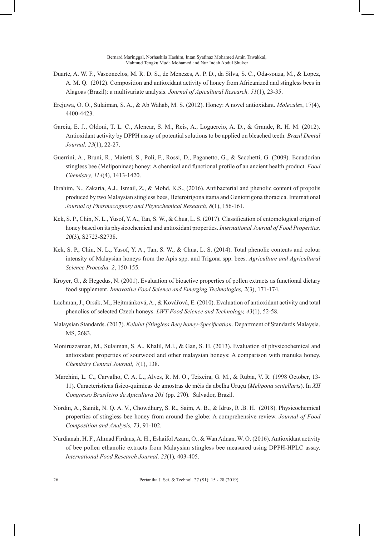Bernard Maringgal, Norhashila Hashim, Intan Syafinaz Mohamed Amin Tawakkal, Mahmud Tengku Muda Mohamed and Nur Indah Abdul Shukor

- Duarte, A. W. F., Vasconcelos, M. R. D. S., de Menezes, A. P. D., da Silva, S. C., Oda-souza, M., & Lopez, A. M. Q. (2012). Composition and antioxidant activity of honey from Africanized and stingless bees in Alagoas (Brazil): a multivariate analysis. *Journal of Apicultural Research, 51*(1), 23-35.
- Erejuwa, O. O., Sulaiman, S. A., & Ab Wahab, M. S. (2012). Honey: A novel antioxidant. *Molecules*, 17(4), 4400-4423.
- Garcia, E. J., Oldoni, T. L. C., Alencar, S. M., Reis, A., Loguercio, A. D., & Grande, R. H. M. (2012). Antioxidant activity by DPPH assay of potential solutions to be applied on bleached teeth. *Brazil Dental Journal, 23*(1), 22-27.
- Guerrini, A., Bruni, R., Maietti, S., Poli, F., Rossi, D., Paganetto, G., & Sacchetti, G. (2009). Ecuadorian stingless bee (Meliponinae) honey: A chemical and functional profile of an ancient health product. *Food Chemistry, 114*(4), 1413-1420.
- Ibrahim, N., Zakaria, A.J., Ismail, Z., & Mohd, K.S., (2016). Antibacterial and phenolic content of propolis produced by two Malaysian stingless bees, Heterotrigona itama and Geniotrigona thoracica. International *Journal of Pharmacognosy and Phytochemical Research, 8*(1), 156-161.
- Kek, S. P., Chin, N. L., Yusof, Y. A., Tan, S. W., & Chua, L. S. (2017). Classification of entomological origin of honey based on its physicochemical and antioxidant properties. *International Journal of Food Properties, 20*(3), S2723-S2738.
- Kek, S. P., Chin, N. L., Yusof, Y. A., Tan, S. W., & Chua, L. S. (2014). Total phenolic contents and colour intensity of Malaysian honeys from the Apis spp. and Trigona spp. bees. *Agriculture and Agricultural Science Procedia, 2*, 150-155.
- Kroyer, G., & Hegedus, N. (2001). Evaluation of bioactive properties of pollen extracts as functional dietary food supplement. *Innovative Food Science and Emerging Technologies, 2*(3), 171-174.
- Lachman, J., Orsák, M., Hejtmánková, A., & Kovářová, E. (2010). Evaluation of antioxidant activity and total phenolics of selected Czech honeys. *LWT-Food Science and Technology, 43*(1), 52-58.
- Malaysian Standards. (2017). *Kelulut (Stingless Bee) honey-Specification*. Department of Standards Malaysia. MS, 2683.
- Moniruzzaman, M., Sulaiman, S. A., Khalil, M.I., & Gan, S. H. (2013). Evaluation of physicochemical and antioxidant properties of sourwood and other malaysian honeys: A comparison with manuka honey. *Chemistry Central Journal, 7*(1), 138.
- Marchini, L. C., Carvalho, C. A. L., Alves, R. M. O., Teixeira, G. M., & Rubia, V. R. (1998 October, 13- 11). Características físico-químicas de amostras de méis da abelha Uruçu (*Melipona scutellaris*). In *XII Congresso Brasileiro de Apicultura 201* (pp. 270). Salvador, Brazil.
- Nordin, A., Sainik, N. Q. A. V., Chowdhury, S. R., Saim, A. B., & Idrus, R .B. H. (2018). Physicochemical properties of stingless bee honey from around the globe: A comprehensive review. *Journal of Food Composition and Analysis, 73*, 91-102.
- Nurdianah, H. F., Ahmad Firdaus, A. H., Eshaifol Azam, O., & Wan Adnan, W. O. (2016). Antioxidant activity of bee pollen ethanolic extracts from Malaysian stingless bee measured using DPPH-HPLC assay. *International Food Research Journal, 23*(1)*,* 403-405.